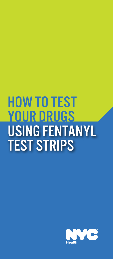# HOW TO TEST YOUR DRUGS USING FENTANYL TEST STRIPS

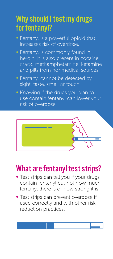# Why should I test my drugs for fentanyl?

- Fentanyl is a powerful opioid that increases risk of overdose.
- Fentanyl is commonly found in heroin. It is also present in cocaine, crack, methamphetamine, ketamine and pills from nonmedical sources.
- Fentanyl cannot be detected by sight, taste, smell or touch.
- Knowing if the drugs you plan to use contain fentanyl can lower your risk of overdose



# What are fentanyl test strips?

- Test strips can tell you if your drugs<br>contain fentanyl but not how much fentanyl there is or how strong it is.
- Test strips can prevent overdose if used correctly and with other risk reduction practices.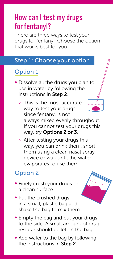# How can I test my drugs for fentanyl?

There are three ways to test your drugs for fentanyl. Choose the option that works best for you.

#### Step 1: Choose your option.

### Option 1

- Dissolve all the drugs you plan to use in water by following the instructions in Step 2.
	- <sup>o</sup> This is the most accurate way to test your drugs since fentanyl is not always mixed evenly throughout. If you cannot test your drugs this way, try Options 2 or 3.
	- o After testing your drugs this way, you can drink them, snort them using a clean nasal spray device or wait until the water evaporates to use them.

## Option 2

- Finely crush your drugs on a clean surface.
- Put the crushed drugs in a small, plastic bag and shake the bag to mix them.
- Empty the bag and put your drugs to the side. A small amount of drug residue should be left in the bag.
- Add water to the bag by following the instructions in Step 2.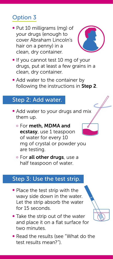## Option 3

• Put 10 milligrams (mg) of your drugs (enough to cover Abraham Lincoln's hair on a penny) in a clean, dry container.



- If you cannot test 10 mg of your drugs, put at least a few grains in a clean, dry container.
- Add water to the container by following the instructions in Step 2.

### Step 2: Add water.

- Add water to your drugs and mix them up.
	- <sup>o</sup> For meth, MDMA and ecstasy, use 1 teaspoon of water for every 10 mg of crystal or powder you are testing.
	- o For all other drugs, use a half teaspoon of water.

#### Step 3: Use the test strip.

- Place the test strip with the wavy side down in the water. Let the strip absorb the water for 15 seconds.
- Take the strip out of the water and place it on a flat surface for two minutes.
- Read the results (see "What do the test results mean?").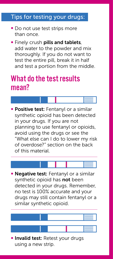## Tips for testing your drugs:

- Do not use test strips more than once
- **Finely crush pills and tablets,** add water to the powder and mix thoroughly. If you do not want to test the entire pill, break it in half and test a portion from the middle.

## What do the test results mean?

**• Positive test:** Fentanyl or a similar synthetic opioid has been detected in your drugs. If you are not planning to use fentanyl or opioids, avoid using the drugs or see the "What else can I do to lower my risk of overdose?" section on the back of this material

• Negative test: Fentanyl or a similar synthetic opioid has not been detected in your drugs. Remember, no test is 100% accurate and your drugs may still contain fentanyl or a similar synthetic opioid.